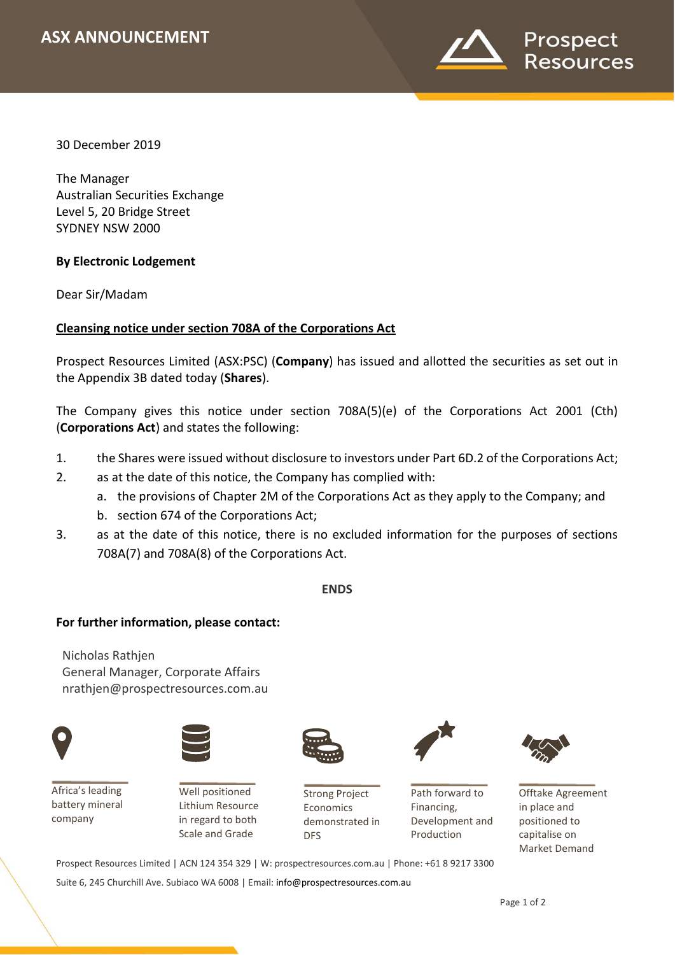

30 December 2019

*XX November 2018*

The Manager Australian Securities Exchange Level 5, 20 Bridge Street SYDNEY NSW 2000

# **By Electronic Lodgement**

Dear Sir/Madam

# **Cleansing notice under section 708A of the Corporations Act**

Prospect Resources Limited (ASX:PSC) (**Company**) has issued and allotted the securities as set out in the Appendix 3B dated today (**Shares**).

The Company gives this notice under section 708A(5)(e) of the Corporations Act 2001 (Cth) (**Corporations Act**) and states the following:

- 1. the Shares were issued without disclosure to investors under Part 6D.2 of the Corporations Act;
- 2. as at the date of this notice, the Company has complied with:
	- a. the provisions of Chapter 2M of the Corporations Act as they apply to the Company; and
	- b. section 674 of the Corporations Act;
- 3. as at the date of this notice, there is no excluded information for the purposes of sections 708A(7) and 708A(8) of the Corporations Act.

## **ENDS**

## **For further information, please contact:**

Nicholas Rathjen General Manager, Corporate Affairs nrathjen@prospectresources.com.au



Africa's leading battery mineral company



Well positioned Lithium Resource in regard to both Scale and Grade



Strong Project Economics demonstrated in DFS



Path forward to Financing, Development and Production



Offtake Agreement in place and positioned to capitalise on Market Demand

Prospect Resources Limited | ACN 124 354 329 | W: prospectresources.com.au | Phone: +61 8 9217 3300

Suite 6, 245 Churchill Ave. Subiaco WA 6008 | Email: [info@prospectresources.com.au](mailto:info@prospectresources.com.au)